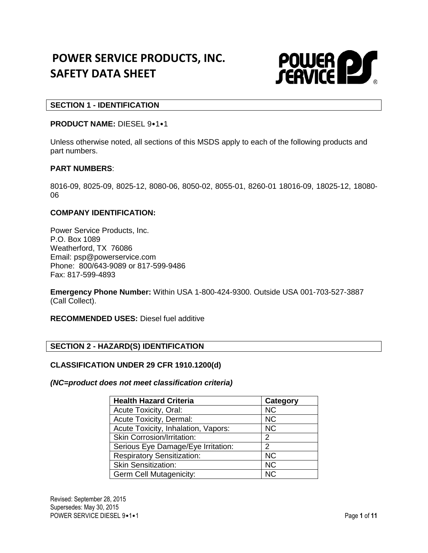# **POWER SERVICE PRODUCTS, INC. SAFETY DATA SHEET**



## **SECTION 1 - IDENTIFICATION**

## **PRODUCT NAME:** DIESEL 9•1•1

Unless otherwise noted, all sections of this MSDS apply to each of the following products and part numbers.

#### **PART NUMBERS**:

8016-09, 8025-09, 8025-12, 8080-06, 8050-02, 8055-01, 8260-01 18016-09, 18025-12, 18080- 06

#### **COMPANY IDENTIFICATION:**

Power Service Products, Inc. P.O. Box 1089 Weatherford, TX 76086 Email: psp@powerservice.com Phone: 800/643-9089 or 817-599-9486 Fax: 817-599-4893

**Emergency Phone Number:** Within USA 1-800-424-9300. Outside USA 001-703-527-3887 (Call Collect).

**RECOMMENDED USES:** Diesel fuel additive

## **SECTION 2 - HAZARD(S) IDENTIFICATION**

#### **CLASSIFICATION UNDER 29 CFR 1910.1200(d)**

*(NC=product does not meet classification criteria)*

| <b>Health Hazard Criteria</b>       | Category  |
|-------------------------------------|-----------|
| Acute Toxicity, Oral:               | <b>NC</b> |
| Acute Toxicity, Dermal:             | <b>NC</b> |
| Acute Toxicity, Inhalation, Vapors: | <b>NC</b> |
| <b>Skin Corrosion/Irritation:</b>   | 2         |
| Serious Eye Damage/Eye Irritation:  | 2         |
| <b>Respiratory Sensitization:</b>   | <b>NC</b> |
| <b>Skin Sensitization:</b>          | <b>NC</b> |
| <b>Germ Cell Mutagenicity:</b>      | <b>NC</b> |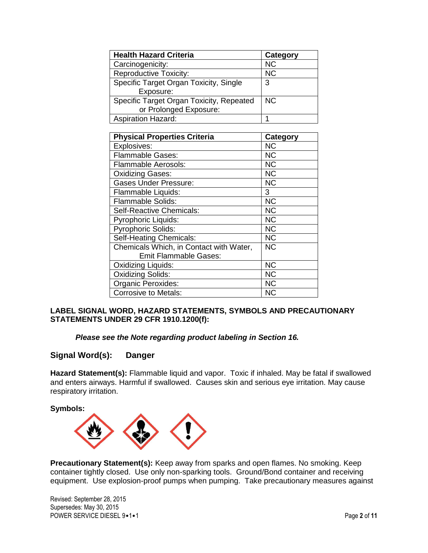| <b>Health Hazard Criteria</b>            | Category  |
|------------------------------------------|-----------|
| Carcinogenicity:                         | <b>NC</b> |
| <b>Reproductive Toxicity:</b>            | <b>NC</b> |
| Specific Target Organ Toxicity, Single   | 3         |
| Exposure:                                |           |
| Specific Target Organ Toxicity, Repeated | <b>NC</b> |
| or Prolonged Exposure:                   |           |
| <b>Aspiration Hazard:</b>                |           |

| <b>Physical Properties Criteria</b>     | <b>Category</b> |
|-----------------------------------------|-----------------|
| Explosives:                             | <b>NC</b>       |
| Flammable Gases:                        | <b>NC</b>       |
| <b>Flammable Aerosols:</b>              | <b>NC</b>       |
| <b>Oxidizing Gases:</b>                 | <b>NC</b>       |
| <b>Gases Under Pressure:</b>            | <b>NC</b>       |
| Flammable Liquids:                      | 3               |
| <b>Flammable Solids:</b>                | <b>NC</b>       |
| Self-Reactive Chemicals:                | <b>NC</b>       |
| <b>Pyrophoric Liquids:</b>              | <b>NC</b>       |
| <b>Pyrophoric Solids:</b>               | <b>NC</b>       |
| <b>Self-Heating Chemicals:</b>          | <b>NC</b>       |
| Chemicals Which, in Contact with Water, | <b>NC</b>       |
| <b>Emit Flammable Gases:</b>            |                 |
| Oxidizing Liquids:                      | <b>NC</b>       |
| <b>Oxidizing Solids:</b>                | <b>NC</b>       |
| <b>Organic Peroxides:</b>               | <b>NC</b>       |
| <b>Corrosive to Metals:</b>             | <b>NC</b>       |

## **LABEL SIGNAL WORD, HAZARD STATEMENTS, SYMBOLS AND PRECAUTIONARY STATEMENTS UNDER 29 CFR 1910.1200(f):**

## *Please see the Note regarding product labeling in Section 16.*

## **Signal Word(s): Danger**

**Hazard Statement(s):** Flammable liquid and vapor. Toxic if inhaled. May be fatal if swallowed and enters airways. Harmful if swallowed. Causes skin and serious eye irritation. May cause respiratory irritation.

**Symbols:** 



**Precautionary Statement(s):** Keep away from sparks and open flames. No smoking. Keep container tightly closed. Use only non-sparking tools. Ground/Bond container and receiving equipment. Use explosion-proof pumps when pumping. Take precautionary measures against

Revised: September 28, 2015 Supersedes: May 30, 2015 POWER SERVICE DIESEL 9•1•1 Page 2 of 11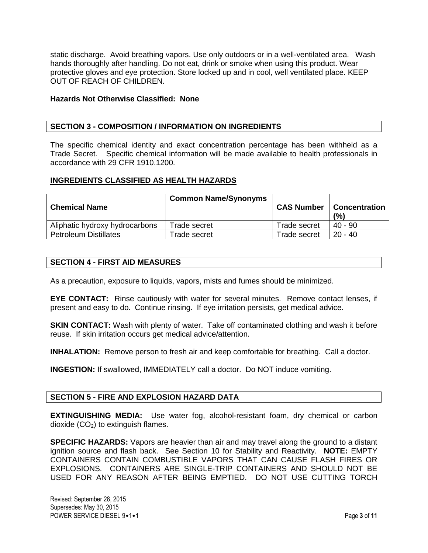static discharge. Avoid breathing vapors. Use only outdoors or in a well-ventilated area. Wash hands thoroughly after handling. Do not eat, drink or smoke when using this product. Wear protective gloves and eye protection. Store locked up and in cool, well ventilated place. KEEP OUT OF REACH OF CHILDREN.

#### **Hazards Not Otherwise Classified: None**

#### **SECTION 3 - COMPOSITION / INFORMATION ON INGREDIENTS**

The specific chemical identity and exact concentration percentage has been withheld as a Trade Secret. Specific chemical information will be made available to health professionals in accordance with 29 CFR 1910.1200.

#### **INGREDIENTS CLASSIFIED AS HEALTH HAZARDS**

| <b>Chemical Name</b>           | <b>Common Name/Synonyms</b> | <b>CAS Number</b> | <b>Concentration</b><br>(%) |
|--------------------------------|-----------------------------|-------------------|-----------------------------|
| Aliphatic hydroxy hydrocarbons | Trade secret                | Trade secret      | $40 - 90$                   |
| <b>Petroleum Distillates</b>   | Trade secret                | Trade secret      | $20 - 40$                   |

#### **SECTION 4 - FIRST AID MEASURES**

As a precaution, exposure to liquids, vapors, mists and fumes should be minimized.

**EYE CONTACT:** Rinse cautiously with water for several minutes. Remove contact lenses, if present and easy to do. Continue rinsing. If eye irritation persists, get medical advice.

**SKIN CONTACT:** Wash with plenty of water. Take off contaminated clothing and wash it before reuse. If skin irritation occurs get medical advice/attention.

**INHALATION:** Remove person to fresh air and keep comfortable for breathing. Call a doctor.

**INGESTION:** If swallowed, IMMEDIATELY call a doctor. Do NOT induce vomiting.

#### **SECTION 5 - FIRE AND EXPLOSION HAZARD DATA**

**EXTINGUISHING MEDIA:** Use water fog, alcohol-resistant foam, dry chemical or carbon dioxide  $(CO<sub>2</sub>)$  to extinguish flames.

**SPECIFIC HAZARDS:** Vapors are heavier than air and may travel along the ground to a distant ignition source and flash back. See Section 10 for Stability and Reactivity. **NOTE:** EMPTY CONTAINERS CONTAIN COMBUSTIBLE VAPORS THAT CAN CAUSE FLASH FIRES OR EXPLOSIONS. CONTAINERS ARE SINGLE-TRIP CONTAINERS AND SHOULD NOT BE USED FOR ANY REASON AFTER BEING EMPTIED. DO NOT USE CUTTING TORCH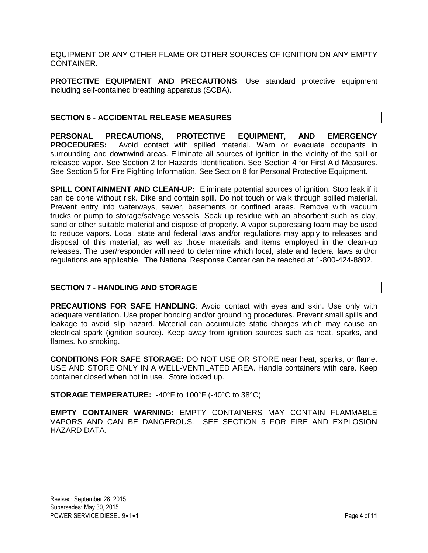EQUIPMENT OR ANY OTHER FLAME OR OTHER SOURCES OF IGNITION ON ANY EMPTY **CONTAINER** 

**PROTECTIVE EQUIPMENT AND PRECAUTIONS**: Use standard protective equipment including self-contained breathing apparatus (SCBA).

## **SECTION 6 - ACCIDENTAL RELEASE MEASURES**

**PERSONAL PRECAUTIONS, PROTECTIVE EQUIPMENT, AND EMERGENCY PROCEDURES:** Avoid contact with spilled material. Warn or evacuate occupants in surrounding and downwind areas. Eliminate all sources of ignition in the vicinity of the spill or released vapor. See Section 2 for Hazards Identification. See Section 4 for First Aid Measures. See Section 5 for Fire Fighting Information. See Section 8 for Personal Protective Equipment.

**SPILL CONTAINMENT AND CLEAN-UP:** Eliminate potential sources of ignition. Stop leak if it can be done without risk. Dike and contain spill. Do not touch or walk through spilled material. Prevent entry into waterways, sewer, basements or confined areas. Remove with vacuum trucks or pump to storage/salvage vessels. Soak up residue with an absorbent such as clay, sand or other suitable material and dispose of properly. A vapor suppressing foam may be used to reduce vapors. Local, state and federal laws and/or regulations may apply to releases and disposal of this material, as well as those materials and items employed in the clean-up releases. The user/responder will need to determine which local, state and federal laws and/or regulations are applicable. The National Response Center can be reached at 1-800-424-8802.

## **SECTION 7 - HANDLING AND STORAGE**

**PRECAUTIONS FOR SAFE HANDLING**: Avoid contact with eyes and skin. Use only with adequate ventilation. Use proper bonding and/or grounding procedures. Prevent small spills and leakage to avoid slip hazard. Material can accumulate static charges which may cause an electrical spark (ignition source). Keep away from ignition sources such as heat, sparks, and flames. No smoking.

**CONDITIONS FOR SAFE STORAGE:** DO NOT USE OR STORE near heat, sparks, or flame. USE AND STORE ONLY IN A WELL-VENTILATED AREA. Handle containers with care. Keep container closed when not in use. Store locked up.

**STORAGE TEMPERATURE:** -40°F to 100°F (-40°C to 38°C)

**EMPTY CONTAINER WARNING:** EMPTY CONTAINERS MAY CONTAIN FLAMMABLE VAPORS AND CAN BE DANGEROUS. SEE SECTION 5 FOR FIRE AND EXPLOSION HAZARD DATA.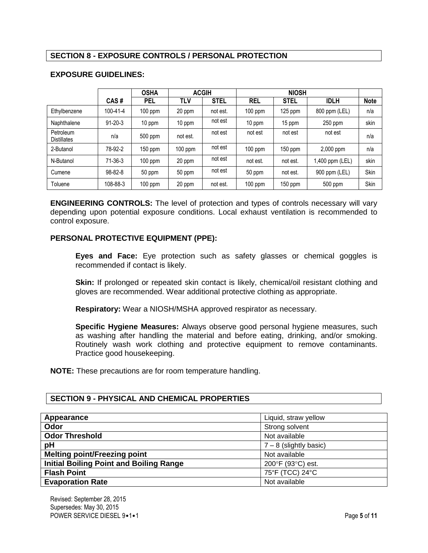# **SECTION 8 - EXPOSURE CONTROLS / PERSONAL PROTECTION**

|                                 |                | <b>OSHA</b> | <b>ACGIH</b> |             |            | <b>NIOSH</b> |                 |             |
|---------------------------------|----------------|-------------|--------------|-------------|------------|--------------|-----------------|-------------|
|                                 | CAS#           | <b>PEL</b>  | TLV          | <b>STEL</b> | <b>REL</b> | <b>STEL</b>  | <b>IDLH</b>     | <b>Note</b> |
| Ethylbenzene                    | $100 - 41 - 4$ | $100$ ppm   | 20 ppm       | not est.    | $100$ ppm  | 125 ppm      | 800 ppm (LEL)   | n/a         |
| Naphthalene                     | $91 - 20 - 3$  | 10 ppm      | 10 ppm       | not est     | 10 ppm     | 15 ppm       | $250$ ppm       | skin        |
| Petroleum<br><b>Distillates</b> | n/a            | 500 ppm     | not est.     | not est     | not est    | not est      | not est         | n/a         |
| 2-Butanol                       | 78-92-2        | 150 ppm     | $100$ ppm    | not est     | $100$ ppm  | $150$ ppm    | 2,000 ppm       | n/a         |
| N-Butanol                       | $71-36-3$      | $100$ ppm   | 20 ppm       | not est     | not est.   | not est.     | 1,400 ppm (LEL) | skin        |
| Cumene                          | $98 - 82 - 8$  | 50 ppm      | 50 ppm       | not est     | 50 ppm     | not est.     | 900 ppm (LEL)   | Skin        |
| Toluene                         | 108-88-3       | $100$ ppm   | 20 ppm       | not est.    | $100$ ppm  | $150$ ppm    | 500 ppm         | Skin        |

## **EXPOSURE GUIDELINES:**

**ENGINEERING CONTROLS:** The level of protection and types of controls necessary will vary depending upon potential exposure conditions. Local exhaust ventilation is recommended to control exposure.

## **PERSONAL PROTECTIVE EQUIPMENT (PPE):**

**Eyes and Face:** Eye protection such as safety glasses or chemical goggles is recommended if contact is likely.

Skin: If prolonged or repeated skin contact is likely, chemical/oil resistant clothing and gloves are recommended. Wear additional protective clothing as appropriate.

**Respiratory:** Wear a NIOSH/MSHA approved respirator as necessary.

**Specific Hygiene Measures:** Always observe good personal hygiene measures, such as washing after handling the material and before eating, drinking, and/or smoking. Routinely wash work clothing and protective equipment to remove contaminants. Practice good housekeeping.

**NOTE:** These precautions are for room temperature handling.

## **SECTION 9 - PHYSICAL AND CHEMICAL PROPERTIES**

| Appearance                                     | Liquid, straw yellow     |  |
|------------------------------------------------|--------------------------|--|
| Odor                                           | Strong solvent           |  |
| <b>Odor Threshold</b>                          | Not available            |  |
| pH                                             | $7 - 8$ (slightly basic) |  |
| <b>Melting point/Freezing point</b>            | Not available            |  |
| <b>Initial Boiling Point and Boiling Range</b> | 200°F (93°C) est.        |  |
| <b>Flash Point</b>                             | 75°F (TCC) 24°C          |  |
| <b>Evaporation Rate</b>                        | Not available            |  |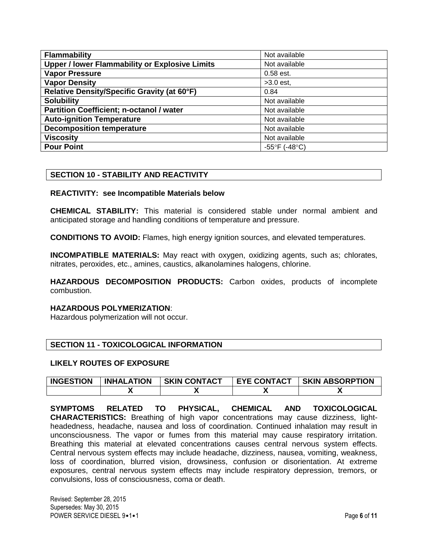| <b>Flammability</b>                                   | Not available                      |
|-------------------------------------------------------|------------------------------------|
| <b>Upper / lower Flammability or Explosive Limits</b> | Not available                      |
| <b>Vapor Pressure</b>                                 | $0.58$ est.                        |
| <b>Vapor Density</b>                                  | $>3.0$ est,                        |
| Relative Density/Specific Gravity (at 60°F)           | 0.84                               |
| <b>Solubility</b>                                     | Not available                      |
| <b>Partition Coefficient; n-octanol / water</b>       | Not available                      |
| <b>Auto-ignition Temperature</b>                      | Not available                      |
| <b>Decomposition temperature</b>                      | Not available                      |
| <b>Viscosity</b>                                      | Not available                      |
| <b>Pour Point</b>                                     | $-55^{\circ}$ F (-48 $^{\circ}$ C) |

## **SECTION 10 - STABILITY AND REACTIVITY**

#### **REACTIVITY: see Incompatible Materials below**

**CHEMICAL STABILITY:** This material is considered stable under normal ambient and anticipated storage and handling conditions of temperature and pressure.

**CONDITIONS TO AVOID:** Flames, high energy ignition sources, and elevated temperatures.

**INCOMPATIBLE MATERIALS:** May react with oxygen, oxidizing agents, such as; chlorates, nitrates, peroxides, etc., amines, caustics, alkanolamines halogens, chlorine.

**HAZARDOUS DECOMPOSITION PRODUCTS:** Carbon oxides, products of incomplete combustion.

#### **HAZARDOUS POLYMERIZATION**:

Hazardous polymerization will not occur.

## **SECTION 11 - TOXICOLOGICAL INFORMATION**

#### **LIKELY ROUTES OF EXPOSURE**

| <b>INGESTION</b> | <b>INHALATION</b> | <b>SKIN CONTACT</b> | <b>EYE CONTACT</b> | <b>SKIN ABSORPTION</b> |
|------------------|-------------------|---------------------|--------------------|------------------------|
|                  |                   |                     |                    |                        |

**SYMPTOMS RELATED TO PHYSICAL, CHEMICAL AND TOXICOLOGICAL CHARACTERISTICS:** Breathing of high vapor concentrations may cause dizziness, lightheadedness, headache, nausea and loss of coordination. Continued inhalation may result in unconsciousness. The vapor or fumes from this material may cause respiratory irritation. Breathing this material at elevated concentrations causes central nervous system effects. Central nervous system effects may include headache, dizziness, nausea, vomiting, weakness, loss of coordination, blurred vision, drowsiness, confusion or disorientation. At extreme exposures, central nervous system effects may include respiratory depression, tremors, or convulsions, loss of consciousness, coma or death.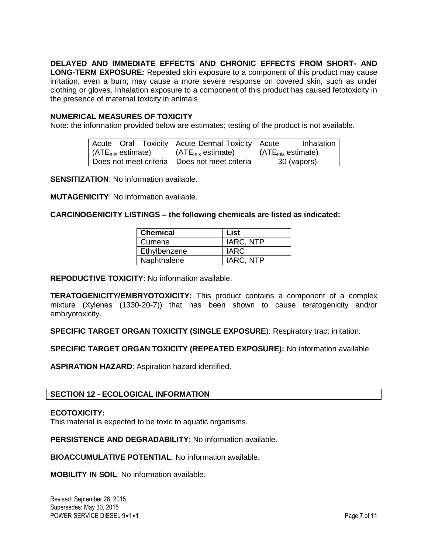# **DELAYED AND IMMEDIATE EFFECTS AND CHRONIC EFFECTS FROM SHORT- AND**

**LONG-TERM EXPOSURE:** Repeated skin exposure to a component of this product may cause irritation, even a burn; may cause a more severe response on covered skin, such as under clothing or gloves. Inhalation exposure to a component of this product has caused fetotoxicity in the presence of maternal toxicity in animals.

## **NUMERICAL MEASURES OF TOXICITY**

Note: the information provided below are estimates; testing of the product is not available.

|                                                 | Acute Oral Toxicity   Acute Dermal Toxicity   Acute | Inhalation $\vert$                    |
|-------------------------------------------------|-----------------------------------------------------|---------------------------------------|
| (ATE $_{\text{mix}}$ estimate)                  | $\mid$ (ATE <sub>mix</sub> estimate)                | $\vert$ (ATE <sub>mix</sub> estimate) |
| Does not meet criteria   Does not meet criteria |                                                     | 30 (vapors)                           |

**SENSITIZATION**: No information available.

**MUTAGENICITY**: No information available.

## **CARCINOGENICITY LISTINGS – the following chemicals are listed as indicated:**

| <b>Chemical</b>     | List        |
|---------------------|-------------|
| <sub>I</sub> Cumene | IARC, NTP   |
| Ethylbenzene        | <b>IARC</b> |
| Naphthalene         | IARC, NTP   |

**REPODUCTIVE TOXICITY**: No information available.

**TERATOGENICITY/EMBRYOTOXICITY:** This product contains a component of a complex mixture (Xylenes (1330-20-7)) that has been shown to cause teratogenicity and/or embryotoxicity.

**SPECIFIC TARGET ORGAN TOXICITY (SINGLE EXPOSURE): Respiratory tract irritation.** 

**SPECIFIC TARGET ORGAN TOXICITY (REPEATED EXPOSURE):** No information available

**ASPIRATION HAZARD**: Aspiration hazard identified.

## **SECTION 12 - ECOLOGICAL INFORMATION**

## **ECOTOXICITY:**

This material is expected to be toxic to aquatic organisms.

**PERSISTENCE AND DEGRADABILITY**: No information available.

**BIOACCUMULATIVE POTENTIAL**: No information available.

**MOBILITY IN SOIL**: No information available.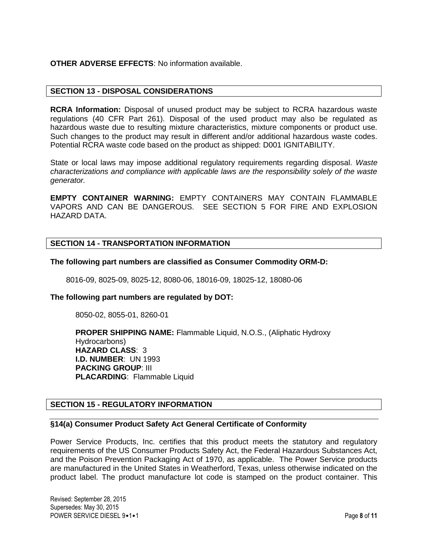## **OTHER ADVERSE EFFECTS**: No information available.

## **SECTION 13 - DISPOSAL CONSIDERATIONS**

**RCRA Information:** Disposal of unused product may be subject to RCRA hazardous waste regulations (40 CFR Part 261). Disposal of the used product may also be regulated as hazardous waste due to resulting mixture characteristics, mixture components or product use. Such changes to the product may result in different and/or additional hazardous waste codes. Potential RCRA waste code based on the product as shipped: D001 IGNITABILITY.

State or local laws may impose additional regulatory requirements regarding disposal. *Waste characterizations and compliance with applicable laws are the responsibility solely of the waste generator.*

**EMPTY CONTAINER WARNING:** EMPTY CONTAINERS MAY CONTAIN FLAMMABLE VAPORS AND CAN BE DANGEROUS. SEE SECTION 5 FOR FIRE AND EXPLOSION HAZARD DATA.

## **SECTION 14 - TRANSPORTATION INFORMATION**

## **The following part numbers are classified as Consumer Commodity ORM-D:**

8016-09, 8025-09, 8025-12, 8080-06, 18016-09, 18025-12, 18080-06

## **The following part numbers are regulated by DOT:**

8050-02, 8055-01, 8260-01

**PROPER SHIPPING NAME:** Flammable Liquid, N.O.S., (Aliphatic Hydroxy Hydrocarbons) **HAZARD CLASS**: 3 **I.D. NUMBER**: UN 1993 **PACKING GROUP**: III **PLACARDING**: Flammable Liquid

## **SECTION 15 - REGULATORY INFORMATION**

## **§14(a) Consumer Product Safety Act General Certificate of Conformity**

Power Service Products, Inc. certifies that this product meets the statutory and regulatory requirements of the US Consumer Products Safety Act, the Federal Hazardous Substances Act, and the Poison Prevention Packaging Act of 1970, as applicable. The Power Service products are manufactured in the United States in Weatherford, Texas, unless otherwise indicated on the product label. The product manufacture lot code is stamped on the product container. This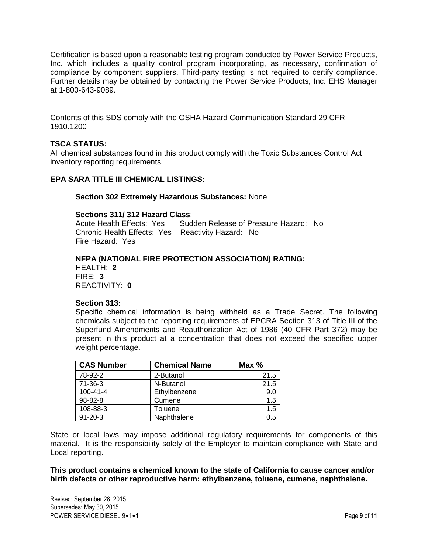Certification is based upon a reasonable testing program conducted by Power Service Products, Inc. which includes a quality control program incorporating, as necessary, confirmation of compliance by component suppliers. Third-party testing is not required to certify compliance. Further details may be obtained by contacting the Power Service Products, Inc. EHS Manager at 1-800-643-9089.

Contents of this SDS comply with the OSHA Hazard Communication Standard 29 CFR 1910.1200

## **TSCA STATUS:**

All chemical substances found in this product comply with the Toxic Substances Control Act inventory reporting requirements.

## **EPA SARA TITLE III CHEMICAL LISTINGS:**

#### **Section 302 Extremely Hazardous Substances:** None

#### **Sections 311/ 312 Hazard Class**:

Acute Health Effects: Yes Sudden Release of Pressure Hazard: No Chronic Health Effects: Yes Reactivity Hazard: No Fire Hazard: Yes

## **NFPA (NATIONAL FIRE PROTECTION ASSOCIATION) RATING:**

HEALTH: **2** FIRE: **3** REACTIVITY: **0**

#### **Section 313:**

Specific chemical information is being withheld as a Trade Secret. The following chemicals subject to the reporting requirements of EPCRA Section 313 of Title III of the Superfund Amendments and Reauthorization Act of 1986 (40 CFR Part 372) may be present in this product at a concentration that does not exceed the specified upper weight percentage.

| <b>CAS Number</b> | <b>Chemical Name</b> | Max $%$ |
|-------------------|----------------------|---------|
| 78-92-2           | 2-Butanol            | 21.5    |
| $71 - 36 - 3$     | N-Butanol            | 21.5    |
| $100 - 41 - 4$    | Ethylbenzene         | 9.0     |
| 98-82-8           | Cumene               | 1.5     |
| 108-88-3          | Toluene              | 1.5     |
| $91 - 20 - 3$     | Naphthalene          | 0.5     |

State or local laws may impose additional regulatory requirements for components of this material. It is the responsibility solely of the Employer to maintain compliance with State and Local reporting.

**This product contains a chemical known to the state of California to cause cancer and/or birth defects or other reproductive harm: ethylbenzene, toluene, cumene, naphthalene.**

Revised: September 28, 2015 Supersedes: May 30, 2015 POWER SERVICE DIESEL 9•1•1 Page 9 of 11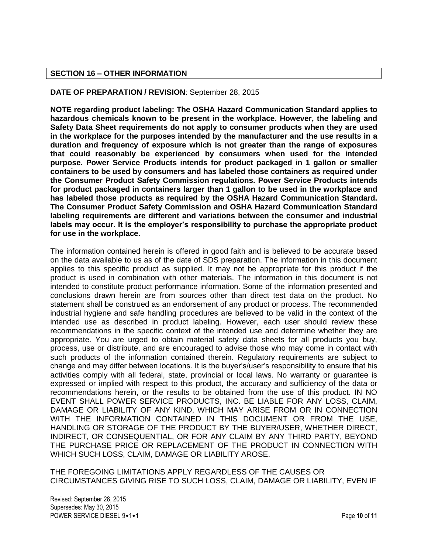## **SECTION 16 – OTHER INFORMATION**

## **DATE OF PREPARATION / REVISION**: September 28, 2015

**NOTE regarding product labeling: The OSHA Hazard Communication Standard applies to hazardous chemicals known to be present in the workplace. However, the labeling and Safety Data Sheet requirements do not apply to consumer products when they are used in the workplace for the purposes intended by the manufacturer and the use results in a duration and frequency of exposure which is not greater than the range of exposures that could reasonably be experienced by consumers when used for the intended purpose. Power Service Products intends for product packaged in 1 gallon or smaller containers to be used by consumers and has labeled those containers as required under the Consumer Product Safety Commission regulations. Power Service Products intends for product packaged in containers larger than 1 gallon to be used in the workplace and has labeled those products as required by the OSHA Hazard Communication Standard. The Consumer Product Safety Commission and OSHA Hazard Communication Standard labeling requirements are different and variations between the consumer and industrial labels may occur. It is the employer's responsibility to purchase the appropriate product for use in the workplace.**

The information contained herein is offered in good faith and is believed to be accurate based on the data available to us as of the date of SDS preparation. The information in this document applies to this specific product as supplied. It may not be appropriate for this product if the product is used in combination with other materials. The information in this document is not intended to constitute product performance information. Some of the information presented and conclusions drawn herein are from sources other than direct test data on the product. No statement shall be construed as an endorsement of any product or process. The recommended industrial hygiene and safe handling procedures are believed to be valid in the context of the intended use as described in product labeling. However, each user should review these recommendations in the specific context of the intended use and determine whether they are appropriate. You are urged to obtain material safety data sheets for all products you buy, process, use or distribute, and are encouraged to advise those who may come in contact with such products of the information contained therein. Regulatory requirements are subject to change and may differ between locations. It is the buyer's/user's responsibility to ensure that his activities comply with all federal, state, provincial or local laws. No warranty or guarantee is expressed or implied with respect to this product, the accuracy and sufficiency of the data or recommendations herein, or the results to be obtained from the use of this product. IN NO EVENT SHALL POWER SERVICE PRODUCTS, INC. BE LIABLE FOR ANY LOSS, CLAIM, DAMAGE OR LIABILITY OF ANY KIND, WHICH MAY ARISE FROM OR IN CONNECTION WITH THE INFORMATION CONTAINED IN THIS DOCUMENT OR FROM THE USE, HANDLING OR STORAGE OF THE PRODUCT BY THE BUYER/USER, WHETHER DIRECT, INDIRECT, OR CONSEQUENTIAL, OR FOR ANY CLAIM BY ANY THIRD PARTY, BEYOND THE PURCHASE PRICE OR REPLACEMENT OF THE PRODUCT IN CONNECTION WITH WHICH SUCH LOSS, CLAIM, DAMAGE OR LIABILITY AROSE.

THE FOREGOING LIMITATIONS APPLY REGARDLESS OF THE CAUSES OR CIRCUMSTANCES GIVING RISE TO SUCH LOSS, CLAIM, DAMAGE OR LIABILITY, EVEN IF